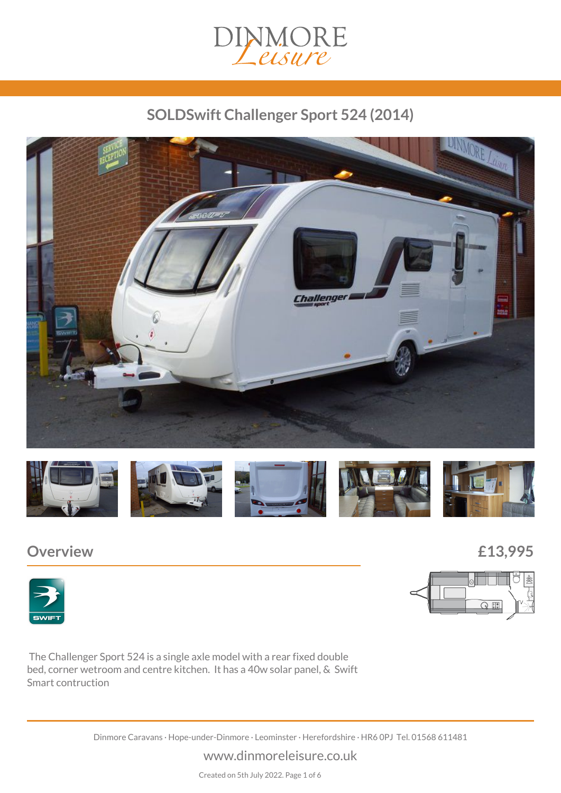

# *SOLDSwift Challenger Sport 524 (2014)*





## *Overview £13,995*





 *The Challenger Sport 524 is a single axle model with a rear fixed double bed, corner wetroom and centre kitchen. It has a 40w solar panel, & Swift Smart contruction*

*Dinmore Caravans · Hope-under-Dinmore · Leominster · Herefordshire · HR6 0PJ Tel. 01568 611481*

#### *www.dinmoreleisure.co.uk*

*Created on 5th July 2022. Page 1 of 6*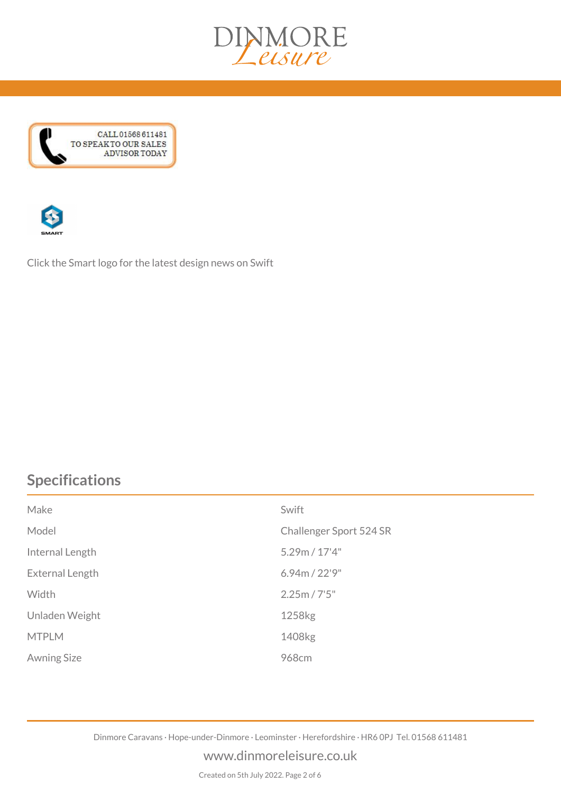





*Click the Smart logo for the latest design news on Swift*

# *Specifications*

| Make               | Swift                   |
|--------------------|-------------------------|
| Model              | Challenger Sport 524 SR |
| Internal Length    | 5.29m / 17'4"           |
| External Length    | 6.94m / 22'9"           |
| Width              | 2.25m / 7'5''           |
| Unladen Weight     | 1258 <sub>kg</sub>      |
| <b>MTPLM</b>       | 1408kg                  |
| <b>Awning Size</b> | 968cm                   |

*Dinmore Caravans · Hope-under-Dinmore · Leominster · Herefordshire · HR6 0PJ Tel. 01568 611481*

#### *www.dinmoreleisure.co.uk*

*Created on 5th July 2022. Page 2 of 6*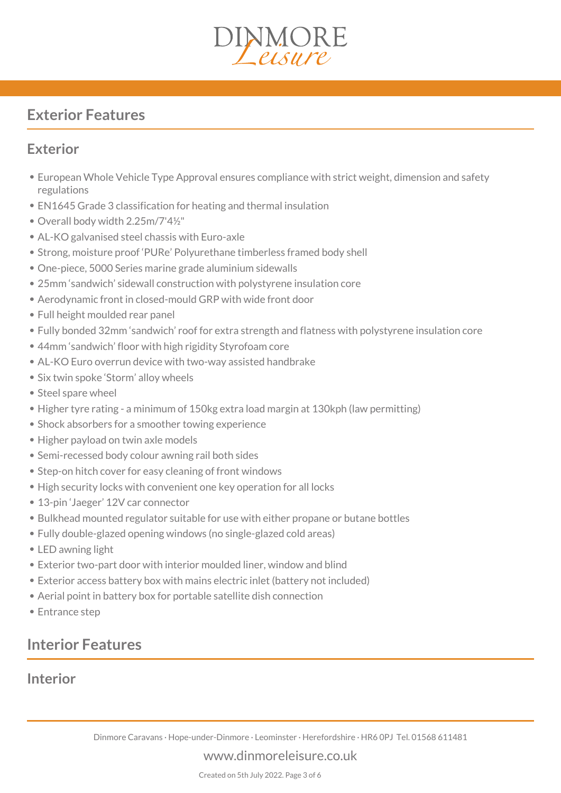

# *Exterior Features*

## *Exterior*

- *European Whole Vehicle Type Approval ensures compliance with strict weight, dimension and safety regulations*
- *EN1645 Grade 3 classification for heating and thermal insulation*
- *Overall body width 2.25m/7'4½"*
- *AL-KO galvanised steel chassis with Euro-axle*
- *Strong, moisture proof 'PURe' Polyurethane timberless framed body shell*
- *One-piece, 5000 Series marine grade aluminium sidewalls*
- *25mm 'sandwich' sidewall construction with polystyrene insulation core*
- *Aerodynamic front in closed-mould GRP with wide front door*
- *Full height moulded rear panel*
- *Fully bonded 32mm 'sandwich' roof for extra strength and flatness with polystyrene insulation core*
- *44mm 'sandwich' floor with high rigidity Styrofoam core*
- *AL-KO Euro overrun device with two-way assisted handbrake*
- *Six twin spoke 'Storm' alloy wheels*
- Steel spare wheel
- *Higher tyre rating a minimum of 150kg extra load margin at 130kph (law permitting)*
- *Shock absorbers for a smoother towing experience*
- *Higher payload on twin axle models*
- *Semi-recessed body colour awning rail both sides*
- *Step-on hitch cover for easy cleaning of front windows*
- *High security locks with convenient one key operation for all locks*
- *13-pin 'Jaeger' 12V car connector*
- *Bulkhead mounted regulator suitable for use with either propane or butane bottles*
- *Fully double-glazed opening windows (no single-glazed cold areas)*
- *LED awning light*
- *Exterior two-part door with interior moulded liner, window and blind*
- *Exterior access battery box with mains electric inlet (battery not included)*
- *Aerial point in battery box for portable satellite dish connection*
- *Entrance step*

# *Interior Features*

## *Interior*

*Dinmore Caravans · Hope-under-Dinmore · Leominster · Herefordshire · HR6 0PJ Tel. 01568 611481*

*www.dinmoreleisure.co.uk*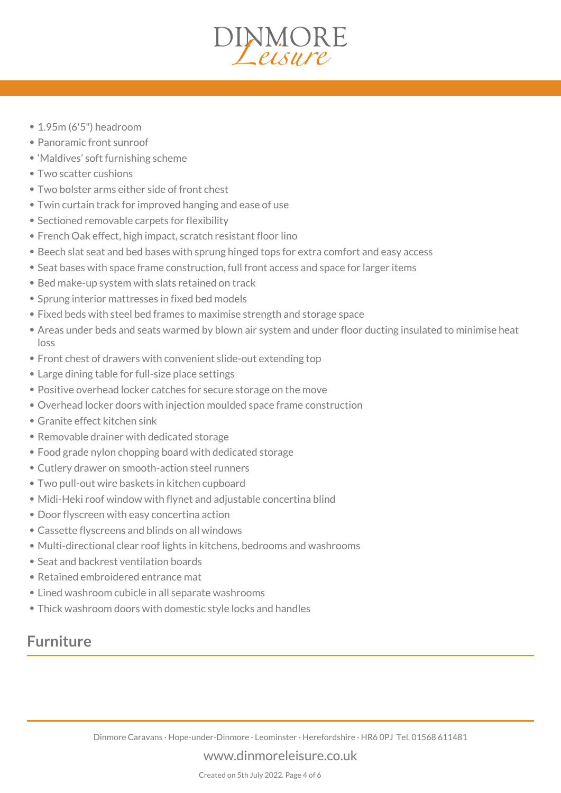# DINMORE

- *1.95m (6'5") headroom*
- *Panoramic front sunroof*
- *'Maldives' soft furnishing scheme*
- *Two scatter cushions*
- *Two bolster arms either side of front chest*
- *Twin curtain track for improved hanging and ease of use*
- *Sectioned removable carpets for flexibility*
- *French Oak effect, high impact, scratch resistant floor lino*
- *Beech slat seat and bed bases with sprung hinged tops for extra comfort and easy access*
- *Seat bases with space frame construction, full front access and space for larger items*
- *Bed make-up system with slats retained on track*
- *Sprung interior mattresses in fixed bed models*
- *Fixed beds with steel bed frames to maximise strength and storage space*
- *Areas under beds and seats warmed by blown air system and under floor ducting insulated to minimise heat loss*
- *Front chest of drawers with convenient slide-out extending top*
- *Large dining table for full-size place settings*
- *Positive overhead locker catches for secure storage on the move*
- *Overhead locker doors with injection moulded space frame construction*
- *Granite effect kitchen sink*
- *Removable drainer with dedicated storage*
- *Food grade nylon chopping board with dedicated storage*
- *Cutlery drawer on smooth-action steel runners*
- *Two pull-out wire baskets in kitchen cupboard*
- *Midi-Heki roof window with flynet and adjustable concertina blind*
- *Door flyscreen with easy concertina action*
- *Cassette flyscreens and blinds on all windows*
- *Multi-directional clear roof lights in kitchens, bedrooms and washrooms*
- *Seat and backrest ventilation boards*
- *Retained embroidered entrance mat*
- *Lined washroom cubicle in all separate washrooms*
- *Thick washroom doors with domestic style locks and handles*

## *Furniture*

*Dinmore Caravans · Hope-under-Dinmore · Leominster · Herefordshire · HR6 0PJ Tel. 01568 611481*

#### *www.dinmoreleisure.co.uk*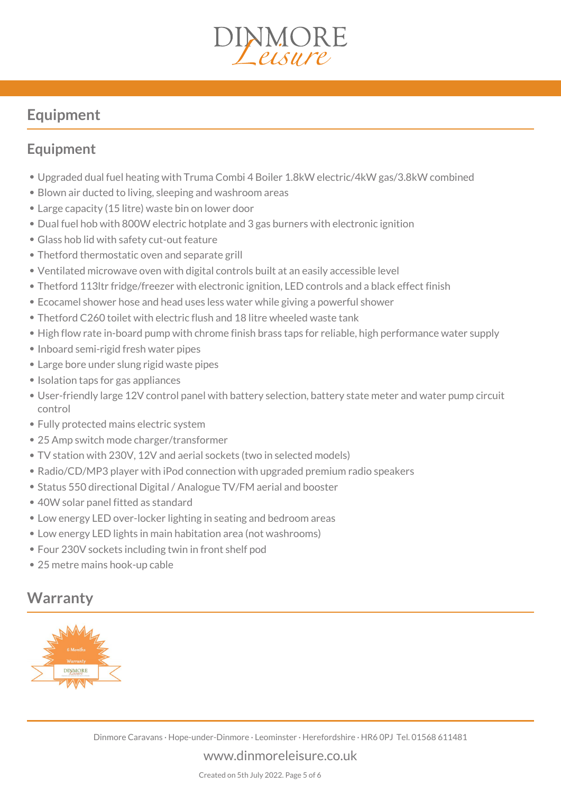

# *Equipment*

## *Equipment*

- *Upgraded dual fuel heating with Truma Combi 4 Boiler 1.8kW electric/4kW gas/3.8kW combined*
- *Blown air ducted to living, sleeping and washroom areas*
- *Large capacity (15 litre) waste bin on lower door*
- *Dual fuel hob with 800W electric hotplate and 3 gas burners with electronic ignition*
- *Glass hob lid with safety cut-out feature*
- *Thetford thermostatic oven and separate grill*
- *Ventilated microwave oven with digital controls built at an easily accessible level*
- *Thetford 113ltr fridge/freezer with electronic ignition, LED controls and a black effect finish*
- *Ecocamel shower hose and head uses less water while giving a powerful shower*
- *Thetford C260 toilet with electric flush and 18 litre wheeled waste tank*
- *High flow rate in-board pump with chrome finish brass taps for reliable, high performance water supply*
- *Inboard semi-rigid fresh water pipes*
- *Large bore under slung rigid waste pipes*
- *Isolation taps for gas appliances*
- *User-friendly large 12V control panel with battery selection, battery state meter and water pump circuit control*
- *Fully protected mains electric system*
- *25 Amp switch mode charger/transformer*
- *TV station with 230V, 12V and aerial sockets (two in selected models)*
- *Radio/CD/MP3 player with iPod connection with upgraded premium radio speakers*
- *Status 550 directional Digital / Analogue TV/FM aerial and booster*
- *40W solar panel fitted as standard*
- *Low energy LED over-locker lighting in seating and bedroom areas*
- *Low energy LED lights in main habitation area (not washrooms)*
- *Four 230V sockets including twin in front shelf pod*
- *25 metre mains hook-up cable*

# *Warranty*



#### *www.dinmoreleisure.co.uk*

*Created on 5th July 2022. Page 5 of 6*